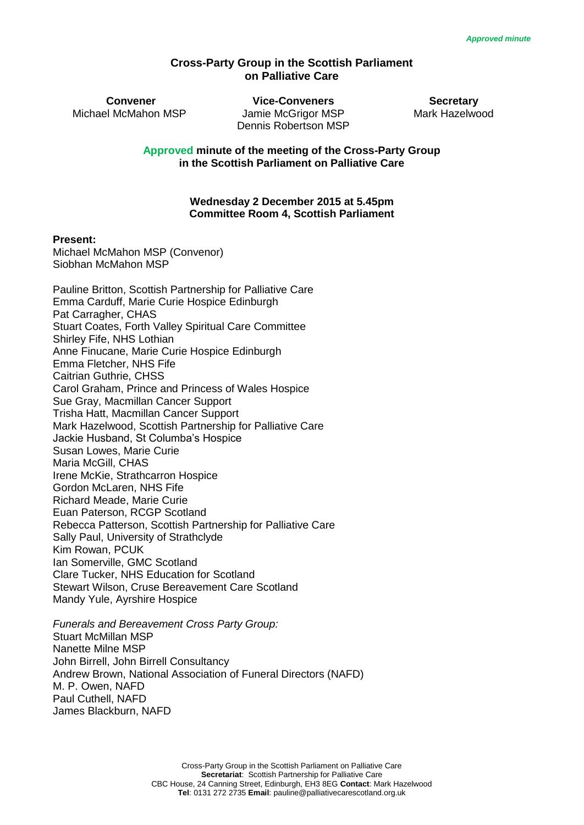## **Cross-Party Group in the Scottish Parliament on Palliative Care**

**Convener Vice-Conveners Secretary** Michael McMahon MSP Jamie McGrigor MSP Mark Hazelwood Dennis Robertson MSP

**Approved minute of the meeting of the Cross-Party Group in the Scottish Parliament on Palliative Care** 

#### **Wednesday 2 December 2015 at 5.45pm Committee Room 4, Scottish Parliament**

#### **Present:**

Michael McMahon MSP (Convenor) Siobhan McMahon MSP

| Pauline Britton, Scottish Partnership for Palliative Care<br>Emma Carduff, Marie Curie Hospice Edinburgh |
|----------------------------------------------------------------------------------------------------------|
| Pat Carragher, CHAS                                                                                      |
| Stuart Coates, Forth Valley Spiritual Care Committee                                                     |
| Shirley Fife, NHS Lothian                                                                                |
| Anne Finucane, Marie Curie Hospice Edinburgh                                                             |
| Emma Fletcher, NHS Fife                                                                                  |
| Caitrian Guthrie, CHSS                                                                                   |
| Carol Graham, Prince and Princess of Wales Hospice                                                       |
| Sue Gray, Macmillan Cancer Support                                                                       |
| Trisha Hatt, Macmillan Cancer Support                                                                    |
| Mark Hazelwood, Scottish Partnership for Palliative Care                                                 |
| Jackie Husband, St Columba's Hospice                                                                     |
| Susan Lowes, Marie Curie                                                                                 |
| Maria McGill, CHAS                                                                                       |
| Irene McKie, Strathcarron Hospice                                                                        |
| Gordon McLaren, NHS Fife                                                                                 |
| Richard Meade, Marie Curie                                                                               |
| Euan Paterson, RCGP Scotland                                                                             |
| Rebecca Patterson, Scottish Partnership for Palliative Care                                              |
| Sally Paul, University of Strathclyde                                                                    |
| Kim Rowan, PCUK                                                                                          |
| Ian Somerville, GMC Scotland                                                                             |
| Clare Tucker, NHS Education for Scotland                                                                 |
| Stewart Wilson, Cruse Bereavement Care Scotland                                                          |
| Mandy Yule, Ayrshire Hospice                                                                             |
|                                                                                                          |

*Funerals and Bereavement Cross Party Group:* Stuart McMillan MSP Nanette Milne MSP John Birrell, John Birrell Consultancy Andrew Brown, National Association of Funeral Directors (NAFD) M. P. Owen, NAFD Paul Cuthell, NAFD James Blackburn, NAFD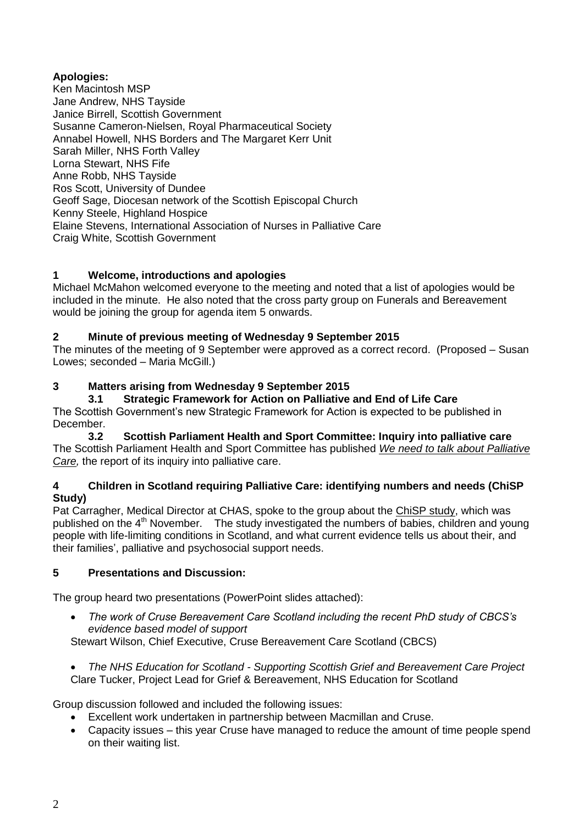# **Apologies:**

Ken Macintosh MSP Jane Andrew, NHS Tayside Janice Birrell, Scottish Government Susanne Cameron-Nielsen, Royal Pharmaceutical Society Annabel Howell, NHS Borders and The Margaret Kerr Unit Sarah Miller, NHS Forth Valley Lorna Stewart, NHS Fife Anne Robb, NHS Tayside Ros Scott, University of Dundee Geoff Sage, Diocesan network of the Scottish Episcopal Church Kenny Steele, Highland Hospice Elaine Stevens, International Association of Nurses in Palliative Care Craig White, Scottish Government

# **1 Welcome, introductions and apologies**

Michael McMahon welcomed everyone to the meeting and noted that a list of apologies would be included in the minute. He also noted that the cross party group on Funerals and Bereavement would be joining the group for agenda item 5 onwards.

## **2 Minute of previous meeting of Wednesday 9 September 2015**

The minutes of the meeting of 9 September were approved as a correct record. (Proposed – Susan Lowes; seconded - Maria McGill.)

## **3 Matters arising from Wednesday 9 September 2015**

**3.1 Strategic Framework for Action on Palliative and End of Life Care** The Scottish Government's new Strategic Framework for Action is expected to be published in December.

**3.2 Scottish Parliament Health and Sport Committee: Inquiry into palliative care** The Scottish Parliament Health and Sport Committee has published *[We need to talk about Palliative](http://www.palliativecarescotland.org.uk/go.php?id=6426)  [Care,](http://www.palliativecarescotland.org.uk/go.php?id=6426)* the report of its inquiry into palliative care.

## **4 Children in Scotland requiring Palliative Care: identifying numbers and needs (ChiSP Study)**

Pat Carragher, Medical Director at CHAS, spoke to the group about the [ChiSP study,](http://www.york.ac.uk/inst/spru/research/pdf/chisp.pdf) which was published on the 4<sup>th</sup> November. The study investigated the numbers of babies, children and young people with life-limiting conditions in Scotland, and what current evidence tells us about their, and their families', palliative and psychosocial support needs.

## **5 Presentations and Discussion:**

The group heard two presentations (PowerPoint slides attached):

- *The work of Cruse Bereavement Care Scotland including the recent PhD study of CBCS's evidence based model of support* Stewart Wilson, Chief Executive, Cruse Bereavement Care Scotland (CBCS)
- *The NHS Education for Scotland - Supporting Scottish Grief and Bereavement Care Project* Clare Tucker, Project Lead for Grief & Bereavement, NHS Education for Scotland

Group discussion followed and included the following issues:

- Excellent work undertaken in partnership between Macmillan and Cruse.
- Capacity issues this year Cruse have managed to reduce the amount of time people spend on their waiting list.